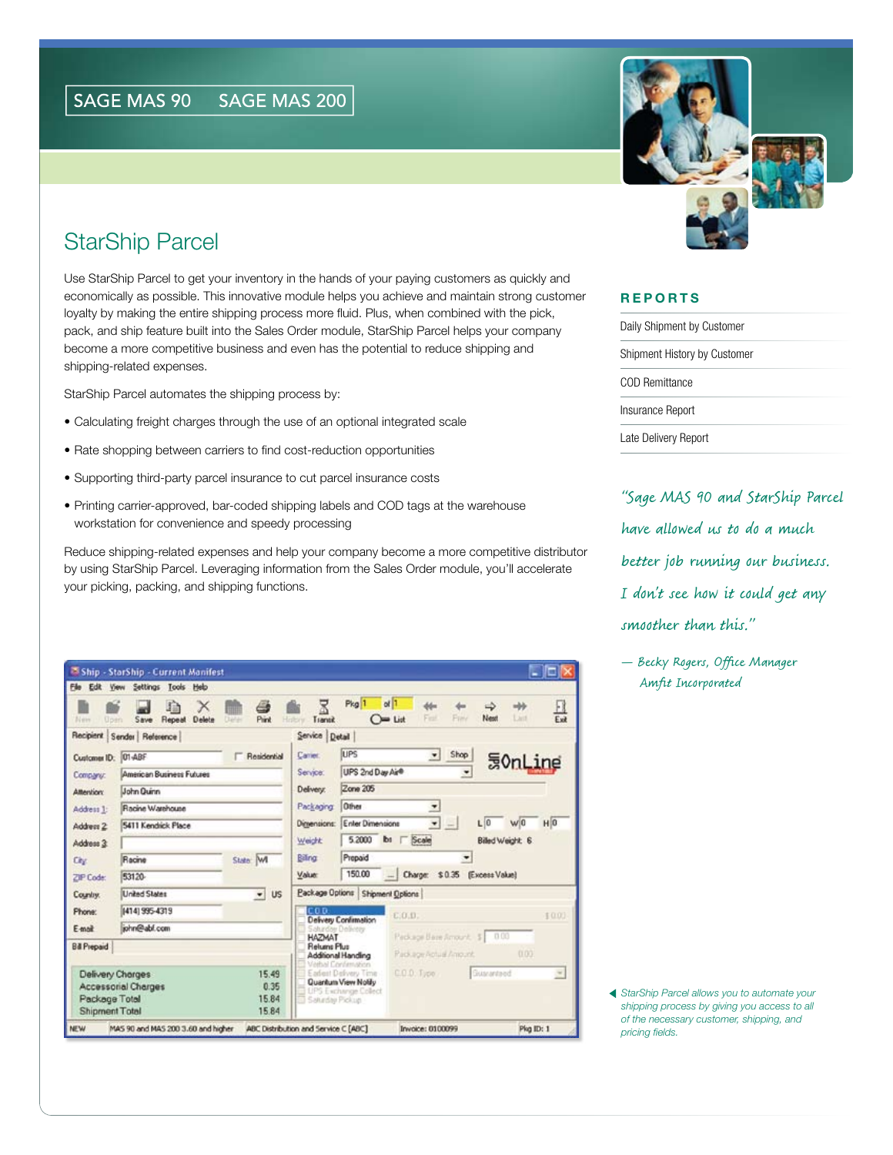## StarShip Parcel

Use StarShip Parcel to get your inventory in the hands of your paying customers as quickly and economically as possible. This innovative module helps you achieve and maintain strong customer loyalty by making the entire shipping process more fluid. Plus, when combined with the pick, pack, and ship feature built into the Sales Order module, StarShip Parcel helps your company become a more competitive business and even has the potential to reduce shipping and shipping-related expenses.

StarShip Parcel automates the shipping process by:

- Calculating freight charges through the use of an optional integrated scale
- Rate shopping between carriers to find cost-reduction opportunities
- Supporting third-party parcel insurance to cut parcel insurance costs
- Printing carrier-approved, bar-coded shipping labels and COD tags at the warehouse workstation for convenience and speedy processing

Reduce shipping-related expenses and help your company become a more competitive distributor by using StarShip Parcel. Leveraging information from the Sales Order module, you'll accelerate your picking, packing, and shipping functions.

| File<br>Edit<br>52 area<br><b>Upen</b> | <b>View Settings Tools</b><br>Heb<br>血<br>X<br>Delete<br>Save<br>Repeat | Piint<br>Dahin         | Pkg <sup>1</sup><br>o<br>且<br>ada)<br>ddin<br>చు<br>Next<br>List<br>Field<br><b>Freiv</b><br>$ightharpoonup$ List<br>Transit<br>High |
|----------------------------------------|-------------------------------------------------------------------------|------------------------|--------------------------------------------------------------------------------------------------------------------------------------|
|                                        | Recipient Sender Reference                                              |                        | Service Detail                                                                                                                       |
| Customer ID: 01-ABF                    |                                                                         | Residential            | LIPS<br>Shop<br>۰<br>Carrier.                                                                                                        |
| Company:                               | American Business Futures                                               |                        | <b>UonLine</b><br>UPS 2nd Day Air®<br>Service:                                                                                       |
| <b>Alterdior:</b>                      | John Quinn<br>Racine Warehouse<br>5411 Kendrick Place                   |                        | Zone 205<br>Delivery:                                                                                                                |
| Address 1:                             |                                                                         |                        | Other<br>Packaging<br>z                                                                                                              |
| Address 2                              |                                                                         |                        | $\overline{\phantom{a}}$<br>H <sub>0</sub><br>Enter Dimensions<br>L 0<br>wi0<br>Dimensions:                                          |
| Address 3:                             |                                                                         |                        | 5,2000<br><b>b</b> Scale<br>Weight<br>Billed Weight 6                                                                                |
| City                                   | Racine                                                                  | State M                | Prepaid<br>Billing                                                                                                                   |
| ZIP Code:                              | 53120-                                                                  |                        | 150.00<br>Charge: \$0.35 (Excess Value)<br>Valuer<br>ш                                                                               |
| Country.                               | <b>United States</b>                                                    | <b>US</b><br>$\bullet$ | Package Options Shipment Options                                                                                                     |
| <b>Phone:</b>                          | (414) 995-4319                                                          |                        | con<br>C.O.D.<br>1000<br><b>Delivery Confirmation</b>                                                                                |
| F-mnit                                 | john@abl.com                                                            |                        | Delivery<br>Package Bare Amount \$ 0.00<br>HAZMAT                                                                                    |
| <b>Bill Prepaid</b>                    |                                                                         |                        | Returns Plus<br>0.00<br>Package Aptual Amount.                                                                                       |
|                                        |                                                                         |                        | Additional Handling<br>thal Confernation                                                                                             |
| Delivery Charges<br>Package Total      | Accessorial Charges                                                     | 15.49<br>0.35<br>15.84 | C.O.D. Type<br>Gusranteed<br>Eadest Delivery Time<br>$\sim$<br>Quantum View Notify<br>LIPS Exchange Collect<br>Saturday Pickup       |



## **REPORTS**

| Daily Shipment by Customer   |
|------------------------------|
| Shipment History by Customer |
| COD Remittance               |
| Insurance Report             |
| Late Delivery Report         |

"Sage MAS 90 and StarShip Parcel have allowed us to do a much better job running our business. I don't see how it could get any smoother than this."

— Becky Rogers, Office Manager Amfit Incorporated

*StarShip Parcel allows you to automate your shipping process by giving you access to all of the necessary customer, shipping, and pricing fields.*